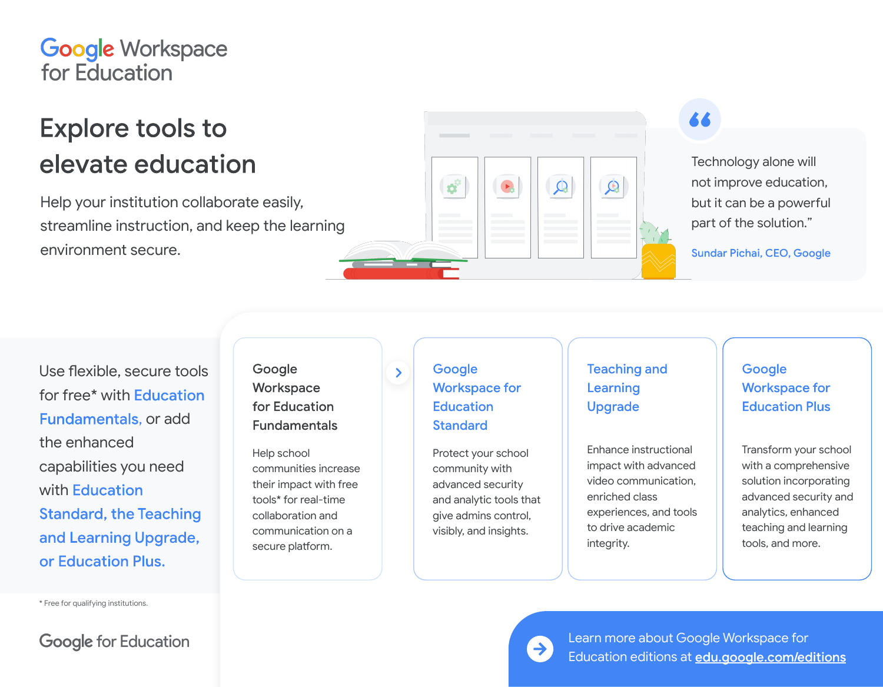## **Google Workspace** for Education

# **Explore tools to** elevate education

Help your institution collaborate easily, streamline instruction, and keep the learning environment secure.



Technology alone will not improve education, but it can be a powerful part of the solution."

Sundar Pichai, CEO, Google

Use flexible, secure tools for free\* with Education **Fundamentals, or add** the enhanced capabilities you need with Education **Standard, the Teaching** and Learning Upgrade, or Education Plus.

\* Free for qualifying institutions.

**Google for Education** 

Workspace for Education **Fundamentals** 

Google

Help school communities increase their impact with free tools\* for real-time collaboration and communication on a secure platform.

## Google **Workspace for Education Standard**

 $\sum$ 

Protect your school community with advanced security and analytic tools that give admins control, visibly, and insights.

## **Teaching and** Learning **Upgrade**

Enhance instructional impact with advanced video communication, enriched class experiences, and tools to drive academic integrity.

## Google **Workspace for Education Plus**

Transform your school with a comprehensive solution incorporating advanced security and analytics, enhanced teaching and learning tools, and more.